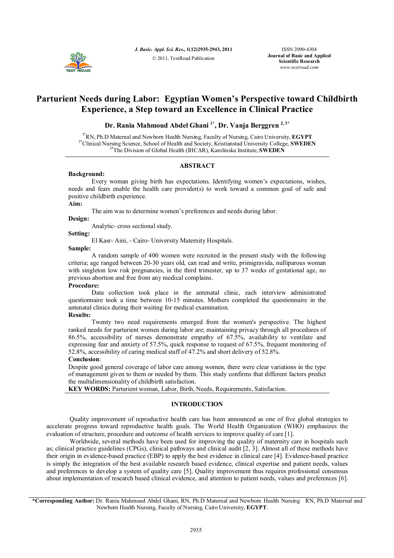

*J. Basic. Appl. Sci. Res.***, 1(12)2935-2943, 2011** © 2011, TextRoad Publication

ISSN 2090-4304 **Journal of Basic and Applied Scientific Research** *www.textroad.com*

# **Parturient Needs during Labor: Egyptian Women's Perspective toward Childbirth Experience, a Step toward an Excellence in Clinical Practice**

# **Dr. Rania Mahmoud Abdel Ghani 1\* , Dr. Vanja Berggren 2, 3\***

1\*RN, Ph.D Maternal and Newborn Health Nursing, Faculty of Nursing, Cairo University, **EGYPT** 2\*Clinical Nursing Science, School of Health and Society, Kristianstad University College, **SWEDEN** 3\*The Division of Global Health (IHCAR), Karolinska Institute, **SWEDEN**

# **ABSTRACT**

### **Background:**

Every woman giving birth has expectations. Identifying women's expectations, wishes, needs and fears enable the health care provider(s) to work toward a common goal of safe and positive childbirth experience.

# **Aim:**

The aim was to determine women's preferences and needs during labor.

**Design:**

Analytic- cross sectional study.

### **Setting:**

El Kasr- Aini, - Cairo- University Maternity Hospitals.

# **Sample:**

A random sample of 400 women were recruited in the present study with the following criteria; age ranged between 20-30 years old, can read and write, primigravida, nulliparous woman with singleton low risk pregnancies, in the third trimester, up to 37 weeks of gestational age, no previous abortion and free from any medical complains.

# **Procedure:**

Data collection took place in the antenatal clinic, each interview administrated questionnaire took a time between 10-15 minutes. Mothers completed the questionnaire in the antenatal clinics during their waiting for medical examination.

# **Results:**

Twenty two need requirements emerged from the women's perspective. The highest ranked needs for parturient women during labor are; maintaining privacy through all procedures of 86.5%, accessibility of nurses demonstrate empathy of 67.5%, availability to ventilate and expressing fear and anxiety of 57.5%, quick response to request of 67.5%, frequent monitoring of 52.8%, accessibility of caring medical staff of 47.2% and short delivery of 52.8%.

# **Conclusion**:

Despite good general coverage of labor care among women, there were clear variations in the type of management given to them or needed by them. This study confirms that different factors predict the multidimensionality of childbirth satisfaction.

**KEY WORDS:** Parturient woman, Labor, Birth, Needs, Requirements, Satisfaction.

# **INTRODUCTION**

Quality improvement of reproductive health care has been announced as one of five global strategies to accelerate progress toward reproductive health goals. The World Health Organization (WHO) emphasizes the evaluation of structure, procedure and outcome of health services to improve quality of care [1].

Worldwide, several methods have been used for improving the quality of maternity care in hospitals such as; clinical practice guidelines (CPGs), clinical pathways and clinical audit [2, 3]. Almost all of these methods have their origin in evidence-based practice (EBP) to apply the best evidence in clinical care [4]. Evidence-based practice is simply the integration of the best available research based evidence, clinical expertise and patient needs, values and preferences to develop a system of quality care [5]. Quality improvement thus requires professional consensus about implementation of research based clinical evidence, and attention to patient needs, values and preferences [6].

**\*Corresponding Author:** Dr. Rania Mahmoud Abdel Ghani, RN, Ph.D Maternal and Newborn Health Nursing RN, Ph.D Maternal and Newborn Health Nursing, Faculty of Nursing, Cairo University, **EGYPT**.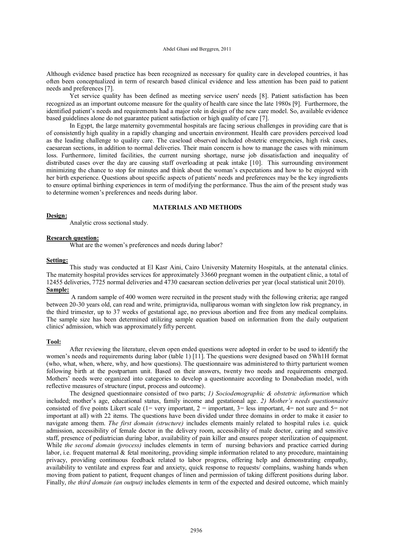Although evidence based practice has been recognized as necessary for quality care in developed countries, it has often been conceptualized in term of research based clinical evidence and less attention has been paid to patient needs and preferences [7].

Yet service quality has been defined as meeting service users' needs [8]. Patient satisfaction has been recognized as an important outcome measure for the quality of health care since the late 1980s [9]. Furthermore, the identified patient's needs and requirements had a major role in design of the new care model. So, available evidence based guidelines alone do not guarantee patient satisfaction or high quality of care [7].

In Egypt, the large maternity governmental hospitals are facing serious challenges in providing care that is of consistently high quality in a rapidly changing and uncertain environment. Health care providers perceived load as the leading challenge to quality care. The caseload observed included obstetric emergencies, high risk cases, caesarean sections, in addition to normal deliveries. Their main concern is how to manage the cases with minimum loss. Furthermore, limited facilities, the current nursing shortage, nurse job dissatisfaction and inequality of distributed cases over the day are causing staff overloading at peak intake [10]. This surrounding environment minimizing the chance to stop for minutes and think about the woman's expectations and how to be enjoyed with her birth experience. Questions about specific aspects of patients' needs and preferences may be the key ingredients to ensure optimal birthing experiences in term of modifying the performance. Thus the aim of the present study was to determine women's preferences and needs during labor.

# **MATERIALS AND METHODS**

### **Design:**

Analytic cross sectional study.

### **Research question:**

What are the women's preferences and needs during labor?

# **Setting:**

This study was conducted at El Kasr Aini, Cairo University Maternity Hospitals, at the antenatal clinics. The maternity hospital provides services for approximately 33660 pregnant women in the outpatient clinic, a total of 12455 deliveries, 7725 normal deliveries and 4730 caesarean section deliveries per year (local statistical unit 2010). **Sample:**

A random sample of 400 women were recruited in the present study with the following criteria; age ranged between 20-30 years old, can read and write, primigravida, nulliparous woman with singleton low risk pregnancy, in the third trimester, up to 37 weeks of gestational age, no previous abortion and free from any medical complains. The sample size has been determined utilizing sample equation based on information from the daily outpatient clinics' admission, which was approximately fifty percent.

#### **Tool:**

After reviewing the literature, eleven open ended questions were adopted in order to be used to identify the women's needs and requirements during labor (table 1) [11]. The questions were designed based on 5Wh1H format (who, what, when, where, why, and how questions). The questionnaire was administered to thirty parturient women following birth at the postpartum unit. Based on their answers, twenty two needs and requirements emerged. Mothers' needs were organized into categories to develop a questionnaire according to Donabedian model, with reflective measures of structure (input, process and outcome).

The designed questionnaire consisted of two parts; *1) Sociodemographic & obstetric information* which included; mother's age, educational status, family income and gestational age. *2) Mother's needs questionnaire* consisted of five points Likert scale (1= very important, 2 = important, 3 = less important, 4 = not sure and 5 = not important at all) with 22 items. The questions have been divided under three domains in order to make it easier to navigate among them. *The first domain (structure)* includes elements mainly related to hospital rules i.e. quick admission, accessibility of female doctor in the delivery room, accessibility of male doctor, caring and sensitive staff, presence of pediatrician during labor, availability of pain killer and ensures proper sterilization of equipment. While *the second domain (process)* includes elements in term of nursing behaviors and practice carried during labor, i.e. frequent maternal  $\&$  fetal monitoring, providing simple information related to any procedure, maintaining privacy, providing continuous feedback related to labor progress, offering help and demonstrating empathy, availability to ventilate and express fear and anxiety, quick response to requests/ complains, washing hands when moving from patient to patient, frequent changes of linen and permission of taking different positions during labor. Finally, *the third domain (an output)* includes elements in term of the expected and desired outcome, which mainly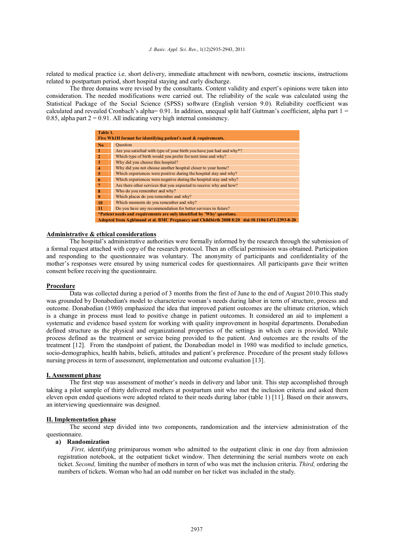related to medical practice i.e. short delivery, immediate attachment with newborn, cosmetic inscions, instructions related to postpartum period, short hospital staying and early discharge.

The three domains were revised by the consultants. Content validity and expert's opinions were taken into consideration. The needed modifications were carried out. The reliability of the scale was calculated using the Statistical Package of the Social Science (SPSS) software (English version 9.0). Reliability coefficient was calculated and revealed Cronbach's alpha=  $0.91$ . In addition, unequal split half Guttman's coefficient, alpha part  $1 =$ 0.85, alpha part  $2 = 0.91$ . All indicating very high internal consistency.

| Table 1.                                                                                       |                                                                                   |  |  |  |  |
|------------------------------------------------------------------------------------------------|-----------------------------------------------------------------------------------|--|--|--|--|
| Five Wh1H format for identifying patient's need & requirements.                                |                                                                                   |  |  |  |  |
| No.                                                                                            | Question                                                                          |  |  |  |  |
| $\mathbf{1}$                                                                                   | Are you satisfied with type of your birth you have just had and why <sup>*?</sup> |  |  |  |  |
| $\overline{2}$                                                                                 | Which type of birth would you prefer for next time and why?                       |  |  |  |  |
| 3                                                                                              | Why did you choose this hospital?                                                 |  |  |  |  |
| $\overline{\mathbf{4}}$                                                                        | Why did you not choose another hospital closer to your home?                      |  |  |  |  |
| 5                                                                                              | Which experiences were positive during the hospital stay and why?                 |  |  |  |  |
| 6                                                                                              | Which experiences were negative during the hospital stay and why?                 |  |  |  |  |
| $\overline{7}$                                                                                 | Are there other services that you expected to receive why and how?                |  |  |  |  |
| 8                                                                                              | Who do you remember and why?                                                      |  |  |  |  |
| 9                                                                                              | Which places do you remember and why?                                             |  |  |  |  |
| <b>10</b>                                                                                      | Which moments do you remember and why?                                            |  |  |  |  |
| 11                                                                                             | Do you have any recommendation for better services in future?                     |  |  |  |  |
| *Patient needs and requirements are only identified by 'Why' questions.                        |                                                                                   |  |  |  |  |
| Adopted from Aghlmand et al. BMC Pregnancy and Childbirth 2008 8:20 doi:10.1186/1471-2393-8-20 |                                                                                   |  |  |  |  |

### **Administrative & ethical considerations**

The hospital's administrative authorities were formally informed by the research through the submission of a formal request attached with copy of the research protocol. Then an official permission was obtained. Participation and responding to the questionnaire was voluntary. The anonymity of participants and confidentiality of the mother's responses were ensured by using numerical codes for questionnaires. All participants gave their written consent before receiving the questionnaire.

### **Procedure**

Data was collected during a period of 3 months from the first of June to the end of August 2010.This study was grounded by Donabedian's model to characterize woman's needs during labor in term of structure, process and outcome. Donabedian (1980) emphasized the idea that improved patient outcomes are the ultimate criterion, which is a change in process must lead to positive change in patient outcomes. It considered an aid to implement a systematic and evidence based system for working with quality improvement in hospital departments. Donabedian defined structure as the physical and organizational properties of the settings in which care is provided. While process defined as the treatment or service being provided to the patient. And outcomes are the results of the treatment [12]. From the standpoint of patient, the Donabedian model in 1980 was modified to include genetics, socio-demographics, health habits, beliefs, attitudes and patient's preference. Procedure of the present study follows nursing process in term of assessment, implementation and outcome evaluation [13].

# **I. Assessment phase**

The first step was assessment of mother's needs in delivery and labor unit. This step accomplished through taking a pilot sample of thirty delivered mothers at postpartum unit who met the inclusion criteria and asked them eleven open ended questions were adopted related to their needs during labor (table 1) [11]. Based on their answers, an interviewing questionnaire was designed.

# **II. Implementation phase**

The second step divided into two components, randomization and the interview administration of the questionnaire.

#### **a) Randomization**

*First*, identifying primiparous women who admitted to the outpatient clinic in one day from admission registration notebook, at the outpatient ticket window. Then determining the serial numbers wrote on each ticket. *Second,* limiting the number of mothers in term of who was met the inclusion criteria. *Third,* ordering the numbers of tickets. Woman who had an odd number on her ticket was included in the study.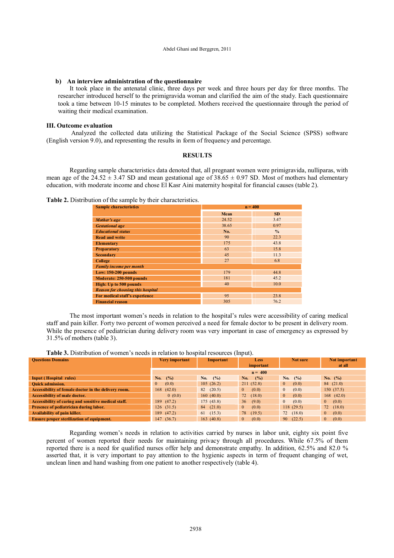#### **b) An interview administration of the questionnaire**

It took place in the antenatal clinic, three days per week and three hours per day for three months. The researcher introduced herself to the primigravida woman and clarified the aim of the study. Each questionnaire took a time between 10-15 minutes to be completed. Mothers received the questionnaire through the period of waiting their medical examination.

### **III. Outcome evaluation**

Analyzed the collected data utilizing the Statistical Package of the Social Science (SPSS) software (English version 9.0), and representing the results in form of frequency and percentage.

# **RESULTS**

Regarding sample characteristics data denoted that, all pregnant women were primigravida, nulliparas, with mean age of the  $24.52 \pm 3.47$  SD and mean gestational age of  $38.65 \pm 0.97$  SD. Most of mothers had elementary education, with moderate income and chose El Kasr Aini maternity hospital for financial causes (table 2).

# **Table 2.** Distribution of the sample by their characteristics.

| <b>Sample characteristics</b>            | $n = 400$ |               |  |  |  |
|------------------------------------------|-----------|---------------|--|--|--|
|                                          | Mean      | <b>SD</b>     |  |  |  |
| Mother's age                             | 24.52     | 3.47          |  |  |  |
| <b>Gestational</b> age                   | 38.65     | 0.97          |  |  |  |
| <b>Educational status</b>                | No.       | $\frac{0}{0}$ |  |  |  |
| <b>Read and write</b>                    | 90        | 22.3          |  |  |  |
| <b>Elementary</b>                        | 175       | 43.8          |  |  |  |
| <b>Preparatory</b>                       | 63        | 15.8          |  |  |  |
| <b>Secondary</b>                         | 45        | 11.3          |  |  |  |
| <b>College</b>                           | 27        | 6.8           |  |  |  |
| <b>Family income per month</b>           |           |               |  |  |  |
| Low: $150-200$ pounds                    | 179       | 44.8          |  |  |  |
| Moderate: 250-500 pounds                 | 181       | 45.2          |  |  |  |
| High: Up to 500 pounds                   | 40        | 10.0          |  |  |  |
| <b>Reason for choosing this hospital</b> |           |               |  |  |  |
| For medical staff's experience           | 95        | 23.8          |  |  |  |
| <b>Financial reason</b>                  | 305       | 76.2          |  |  |  |

The most important women's needs in relation to the hospital's rules were accessibility of caring medical staff and pain killer. Forty two percent of women perceived a need for female doctor to be present in delivery room. While the presence of pediatrician during delivery room was very important in case of emergency as expressed by 31.5% of mothers (table 3).

| <b>Questions Domains</b>                             | Very important          | Important    | <b>Less</b><br>important | Not sure              | Not important<br>at all |  |  |
|------------------------------------------------------|-------------------------|--------------|--------------------------|-----------------------|-------------------------|--|--|
|                                                      | $n = 400$               |              |                          |                       |                         |  |  |
| <b>Input (Hospital rules)</b>                        | (%)<br>No.              | (%)<br>No.   | (%)<br>No.               | $($ %)<br>No.         | No. $(%)$               |  |  |
| <b>Ouick admission.</b>                              | $\overline{0}$<br>(0.0) | 105(26.2)    | 211(52.8)                | $\mathbf{0}$<br>(0.0) | 84(21.0)                |  |  |
| Accessibility of female doctor in the delivery room. | 168(42.0)               | 82(20.5)     | (0.0)<br>$\theta$        | (0.0)<br>$\mathbf{0}$ | 150(37.5)               |  |  |
| <b>Accessibility of male doctor.</b>                 | 0(0.0)                  | 160(40.0)    | 72<br>(18.0)             | $\mathbf{0}$<br>(0.0) | $168$ $(42.0)$          |  |  |
| Accessibility of caring and sensitive medical staff. | 189 (47.2)              | 175(43.8)    | 36<br>(9.0)              | (0.0)<br>$\mathbf{0}$ | (0.0)<br>$\overline{0}$ |  |  |
| Presence of pediatrician during labor.               | 126(31.5)               | 84(21.0)     | (0.0)<br>$\mathbf{0}$    | 118(29.5)             | 72(18.0)                |  |  |
| Availability of pain killer.                         | 189 (47.2)              | (15.3)<br>61 | 78<br>(19.5)             | 72(18.0)              | (0.0)<br>$\mathbf{0}$   |  |  |
| <b>Ensure proper sterilization of equipment.</b>     | 147(36.7)               | 163(40.8)    | $\mathbf{0}$<br>(0.0)    | 90<br>(22.5)          | (0.0)<br>$\overline{0}$ |  |  |

Regarding women's needs in relation to activities carried by nurses in labor unit, eighty six point five percent of women reported their needs for maintaining privacy through all procedures. While 67.5% of them reported there is a need for qualified nurses offer help and demonstrate empathy. In addition, 62.5% and 82.0 % asserted that, it is very important to pay attention to the hygienic aspects in term of frequent changing of wet, unclean linen and hand washing from one patient to another respectively (table 4).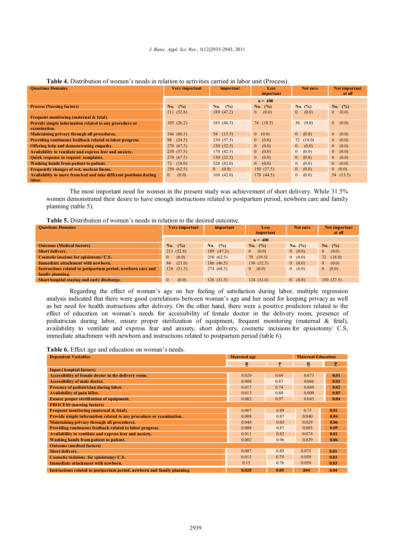#### *J. Basic. Appl. Sci. Res.*, 1(12)2935-2943, 2011

| <b>Questions Domains</b>                                          | Very important          | important               | <b>Less</b><br>important | Not sure                | Not important<br>at all |
|-------------------------------------------------------------------|-------------------------|-------------------------|--------------------------|-------------------------|-------------------------|
|                                                                   | $n = 400$               |                         |                          |                         |                         |
| <b>Process (Nursing factors)</b>                                  | (%)<br>No.              | No.<br>$($ %)           | No. $(%)$                | No. $(\%)$              | No. $(%)$               |
|                                                                   | 211(52.8)               | 189 (47.2)              | (0.0)<br>$\mathbf{0}$    | (0.0)<br>$\overline{0}$ | (0.0)<br>$\overline{0}$ |
| Frequent monitoring (maternal & fetal).                           |                         |                         |                          |                         |                         |
| Provide simple information related to any procedure or            | 105(26.2)               | 185(46.3)               | 74(18.5)                 | 36(9.0)                 | $\overline{0}$<br>(0.0) |
| examination.                                                      |                         |                         |                          |                         |                         |
| Maintaining privacy through all procedures.                       | 346 (86.5)              | 54(13.5)                | 0 (0.0)                  | $\overline{0}$<br>(0.0) | $\mathbf{0}$<br>(0.0)   |
| Providing continuous feedback related to labor progress.          | 98<br>(24.5)            | 230(57.5)               | (0.0)<br>$\mathbf{0}$    | 72(18.0)                | $\overline{0}$<br>(0.0) |
| Offering help and demonstrating empathy.                          | 270 (67.5)              | 130(32.5)               | (0.0)<br>$\overline{0}$  | $\overline{0}$<br>(0.0) | $\overline{0}$<br>(0.0) |
| Availability to ventilate and express fear and anxiety.           | 230(57.5)               | 170(42.5)               | (0.0)<br>$\overline{0}$  | $\overline{0}$<br>(0.0) | $\overline{0}$<br>(0.0) |
| Quick response to request/complains.                              | 270(67.5)               | 130(32.5)               | (0.0)<br>$\mathbf{0}$    | $\overline{0}$<br>(0.0) | $\mathbf{0}$<br>(0.0)   |
| Washing hands from patient to patient.                            | $72^{\circ}$<br>(18.0)  | 328(82.0)               | (0.0)<br>$\overline{0}$  | $\overline{0}$<br>(0.0) | (0.0)<br>$\overline{0}$ |
| Frequently changes of wet, unclean linens.                        | 250(62.5)               | (0.0)<br>$\overline{0}$ | 150(37.5)                | $\mathbf{0}$<br>(0.0)   | 0 (0.0)                 |
| Availability to move from bed and take different positions during | (0.0)<br>$\overline{0}$ | 168(42.0)               | 178(44.5)                | $\mathbf{0}$<br>(0.0)   | 54(13.5)                |
| labor.                                                            |                         |                         |                          |                         |                         |

#### **Table 4.** Distribution of women's needs in relation to activities carried in labor unit (Process).

The most important need for women in the present study was achievement of short delivery. While 31.5% women demonstrated their desire to have enough instructions related to postpartum period, newborn care and family planning (table 5).

| <b>Table 5.</b> Distribution of women's needs in relation to the desired outcome. |  |  |  |
|-----------------------------------------------------------------------------------|--|--|--|
|-----------------------------------------------------------------------------------|--|--|--|

| <b>Questions Domains</b>                                    | Very important        | important | <b>Less</b>           | Not sure   | Not important         |
|-------------------------------------------------------------|-----------------------|-----------|-----------------------|------------|-----------------------|
|                                                             |                       |           | important             |            | at all                |
|                                                             | $n = 400$             |           |                       |            |                       |
| <b>Outcome (Medical factors)</b>                            | No. $(%)$             | No. $(%)$ | No. $(%)$             | No. $(\%)$ | No. $(%)$             |
| <b>Short delivery.</b>                                      | 211(52.8)             | 189(47.2) | (0.0)<br>$\mathbf{0}$ | 0(0.0)     | (0.0)<br>$\mathbf{0}$ |
| Cosmetic inscions for episiotomy/C.S.                       | (0.0)<br>$\mathbf{0}$ | 250(62.5) | 78 (19.5)             | 0(0.0)     | 72(18.0)              |
| Immediate attachment with newborn.                          | (21.0)<br>84          | 186(46.5) | 130(32.5)             | 0(0.0)     | (0.0)<br>$\mathbf{0}$ |
| Instructions related to postpartum period, newborn care and | 126(31.5)             | 274(68.5) | 0 (0.0)               | 0(0.0)     | 0 (0.0)               |
| family planning.                                            |                       |           |                       |            |                       |
| Short hospital staying and early discharge.                 | (0.0)<br>$\mathbf{0}$ | 126(31.5) | 124(31.0)             | 0(0.0)     | 150(37.5)             |

Regarding the effect of woman's age on her feeling of satisfaction during labor, multiple regression analysis indicated that there were good correlations between woman's age and her need for keeping privacy as well as her need for health instructions after delivery. On the other hand, there were a positive predictors related to the effect of education on woman's needs for accessibility of female doctor in the delivery room, presence of pediatrician during labor, ensure proper sterilization of equipment, frequent monitoring (maternal & fetal), availability to ventilate and express fear and anxiety, short delivery, cosmetic incisions for episiotomy/ C.S, immediate attachment with newborn and instructions related to postpartum period (table 6).

#### **Table 6.** Effect age and education on woman's needs.

| <b>Dependent Variables</b>                                              | Maternal age | <b>Maternal Education</b> |              |      |
|-------------------------------------------------------------------------|--------------|---------------------------|--------------|------|
|                                                                         | $\mathbf R$  | P                         | $\mathbf{R}$ | P    |
| <b>Input (hospital factors)</b>                                         |              |                           |              |      |
| Accessibility of female doctor in the delivery room.                    | 0.020        | 0.69                      | 0.073        | 0.01 |
| <b>Accessibility of male doctor.</b>                                    | 0.008        | 0.87                      | 0.066        | 0.02 |
| Presence of pediatrician during labor.                                  | 0.017        | 0.74                      | 0.069        | 0.02 |
| <b>Availability of pain killer.</b>                                     | 0.013        | 0.80                      | 0.009        | 0.85 |
| <b>Ensure proper sterilization of equipment.</b>                        | 0.002        | 0.97                      | 0.043        | 0.04 |
| <b>PROCESS</b> (nursing factors)                                        |              |                           |              |      |
| Frequent monitoring (maternal & fetal).                                 | 0.007        | 0.89                      | 0.75         | 0.01 |
| Provide simple information related to any procedure or examination.     | 0.008        | 0.87                      | 0.040        | 0.04 |
| Maintaining privacy through all procedures.                             | 0.048        | 0.03                      | 0.029        | 0.06 |
| Providing continuous feedback related to labor progress.                | 0.008        | 0.87                      | 0.003        | 0.09 |
| Availability to ventilate and express fear and anxiety.                 | 0.011        | 0.83                      | 0.074        | 0.01 |
| Washing hands from patient to patient.                                  | 0.002        | 0.96                      | 0.029        | 0.06 |
| <b>Outcome</b> (medical factors)                                        |              |                           |              |      |
| Short delivery.                                                         | 0.007        | 0.89                      | 0.075        | 0.01 |
| Cosmetic incisions for episiotomy/ C.S.                                 | 0.013        | 0.79                      | 0.050        | 0.03 |
| Immediate attachment with newborn.                                      | 0.15         | 0.76                      | 0.050        | 0.03 |
| Instructions related to postpartum period, newborn and family planning. | 0.028        | 0.05                      | .044         | 0.04 |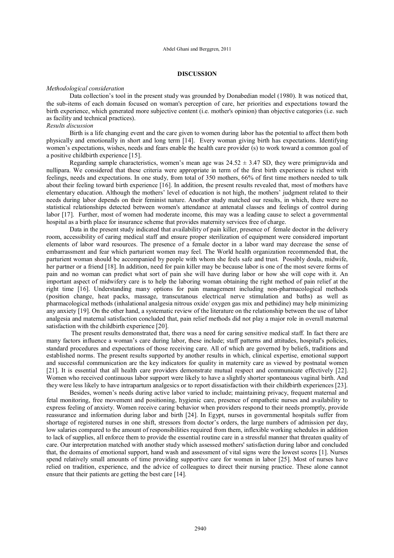# **DISCUSSION**

#### *Methodological consideration*

Data collection's tool in the present study was grounded by Donabedian model (1980). It was noticed that, the sub-items of each domain focused on woman's perception of care, her priorities and expectations toward the birth experience, which generated more subjective content (i.e. mother's opinion) than objective categories (i.e. such as facility and technical practices).

# *Results discussion*

Birth is a life changing event and the care given to women during labor has the potential to affect them both physically and emotionally in short and long term [14]. Every woman giving birth has expectations. Identifying women's expectations, wishes, needs and fears enable the health care provider (s) to work toward a common goal of a positive childbirth experience [15].

Regarding sample characteristics, women's mean age was  $24.52 \pm 3.47$  SD, they were primigravida and nullipara. We considered that these criteria were appropriate in term of the first birth experience is richest with feelings, needs and expectations. In one study, from total of 350 mothers, 66% of first time mothers needed to talk about their feeling toward birth experience [16]. In addition, the present results revealed that, most of mothers have elementary education. Although the mothers' level of education is not high, the mothers' judgment related to their needs during labor depends on their feminist nature. Another study matched our results, in which, there were no statistical relationships detected between women's attendance at antenatal classes and feelings of control during labor [17]. Further, most of women had moderate income, this may was a leading cause to select a governmental hospital as a birth place for insurance scheme that provides maternity services free of charge.

Data in the present study indicated that availability of pain killer, presence of female doctor in the delivery room, accessibility of caring medical staff and ensure proper sterilization of equipment were considered important elements of labor ward resources. The presence of a female doctor in a labor ward may decrease the sense of embarrassment and fear which parturient women may feel. The World health organization recommended that, the parturient woman should be accompanied by people with whom she feels safe and trust. Possibly doula, midwife, her partner or a friend [18]. In addition, need for pain killer may be because labor is one of the most severe forms of pain and no woman can predict what sort of pain she will have during labor or how she will cope with it. An important aspect of midwifery care is to help the laboring woman obtaining the right method of pain relief at the right time [16]. Understanding many options for pain management including non-pharmacological methods (position change, heat packs, massage, transcutanous electrical nerve stimulation and baths) as well as pharmacological methods (inhalational analgesia nitrous oxide/ oxygen gas mix and pethidine) may help minimizing any anxiety [19]. On the other hand, a systematic review of the literature on the relationship between the use of labor analgesia and maternal satisfaction concluded that, pain relief methods did not play a major role in overall maternal satisfaction with the childbirth experience [20].

The present results demonstrated that, there was a need for caring sensitive medical staff. In fact there are many factors influence a woman's care during labor, these include; staff patterns and attitudes, hospital's policies, standard procedures and expectations of those receiving care. All of which are governed by beliefs, traditions and established norms. The present results supported by another results in which, clinical expertise, emotional support and successful communication are the key indicators for quality in maternity care as viewed by postnatal women [21]. It is essential that all health care providers demonstrate mutual respect and communicate effectively [22]. Women who received continuous labor support were likely to have a slightly shorter spontaneous vaginal birth. And they were less likely to have intrapartum analgesics or to report dissatisfaction with their childbirth experiences [23].

Besides, women's needs during active labor varied to include; maintaining privacy, frequent maternal and fetal monitoring, free movement and positioning, hygienic care, presence of empathetic nurses and availability to express feeling of anxiety. Women receive caring behavior when providers respond to their needs promptly, provide reassurance and information during labor and birth [24]. In Egypt, nurses in governmental hospitals suffer from shortage of registered nurses in one shift, stressors from doctor's orders, the large numbers of admission per day, low salaries compared to the amount of responsibilities required from them, inflexible working schedules in addition to lack of supplies, all enforce them to provide the essential routine care in a stressful manner that threaten quality of care. Our interpretation matched with another study which assessed mothers' satisfaction during labor and concluded that, the domains of emotional support, hand wash and assessment of vital signs were the lowest scores [1]. Nurses spend relatively small amounts of time providing supportive care for women in labor [25]. Most of nurses have relied on tradition, experience, and the advice of colleagues to direct their nursing practice. These alone cannot ensure that their patients are getting the best care [14].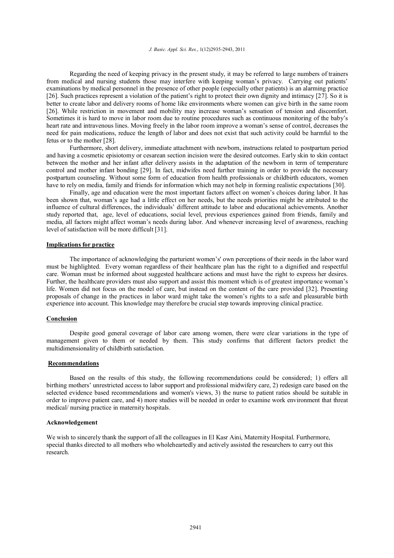#### *J. Basic. Appl. Sci. Res.*, 1(12)2935-2943, 2011

Regarding the need of keeping privacy in the present study, it may be referred to large numbers of trainers from medical and nursing students those may interfere with keeping woman's privacy. Carrying out patients' examinations by medical personnel in the presence of other people (especially other patients) is an alarming practice [26]. Such practices represent a violation of the patient's right to protect their own dignity and intimacy [27]. So it is better to create labor and delivery rooms of home like environments where women can give birth in the same room [26]. While restriction in movement and mobility may increase woman's sensation of tension and discomfort. Sometimes it is hard to move in labor room due to routine procedures such as continuous monitoring of the baby's heart rate and intravenous lines. Moving freely in the labor room improve a woman's sense of control, decreases the need for pain medications, reduce the length of labor and does not exist that such activity could be harmful to the fetus or to the mother [28].

Furthermore, short delivery, immediate attachment with newborn, instructions related to postpartum period and having a cosmetic episiotomy or cesarean section incision were the desired outcomes. Early skin to skin contact between the mother and her infant after delivery assists in the adaptation of the newborn in term of temperature control and mother infant bonding [29]. In fact, midwifes need further training in order to provide the necessary postpartum counseling. Without some form of education from health professionals or childbirth educators, women have to rely on media, family and friends for information which may not help in forming realistic expectations [30].

Finally, age and education were the most important factors affect on women's choices during labor. It has been shown that, woman's age had a little effect on her needs, but the needs priorities might be attributed to the influence of cultural differences, the individuals' different attitude to labor and educational achievements. Another study reported that, age, level of educations, social level, previous experiences gained from friends, family and media, all factors might affect woman's needs during labor. And whenever increasing level of awareness, reaching level of satisfaction will be more difficult [31].

### **Implications for practice**

The importance of acknowledging the parturient women's' own perceptions of their needs in the labor ward must be highlighted. Every woman regardless of their healthcare plan has the right to a dignified and respectful care. Woman must be informed about suggested healthcare actions and must have the right to express her desires. Further, the healthcare providers must also support and assist this moment which is of greatest importance woman's life. Women did not focus on the model of care, but instead on the content of the care provided [32]. Presenting proposals of change in the practices in labor ward might take the women's rights to a safe and pleasurable birth experience into account. This knowledge may therefore be crucial step towards improving clinical practice.

# **Conclusion**

Despite good general coverage of labor care among women, there were clear variations in the type of management given to them or needed by them. This study confirms that different factors predict the multidimensionality of childbirth satisfaction.

### **Recommendations**

Based on the results of this study, the following recommendations could be considered; 1) offers all birthing mothers' unrestricted access to labor support and professional midwifery care, 2) redesign care based on the selected evidence based recommendations and women's views, 3) the nurse to patient ratios should be suitable in order to improve patient care, and 4) more studies will be needed in order to examine work environment that threat medical/ nursing practice in maternity hospitals.

### **Acknowledgement**

We wish to sincerely thank the support of all the colleagues in El Kasr Aini, Maternity Hospital. Furthermore, special thanks directed to all mothers who wholeheartedly and actively assisted the researchers to carry out this research.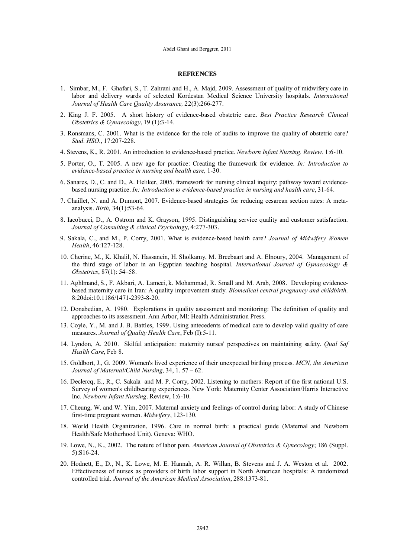#### **REFRENCES**

- 1. Simbar, M., F. Ghafari, S., T. Zahrani and H., A. Majd, 2009. Assessment of quality of midwifery care in labor and delivery wards of selected Kordestan Medical Science University hospitals. *International Journal of Health Care Quality Assurance,* 22(3):266-277.
- 2. King J. F. 2005. A short history of evidence-based obstetric care**.** *Best Practice Research Clinical Obstetrics & Gynaecology*, 19 (1):3-14.
- 3. Ronsmans, C. 2001. What is the evidence for the role of audits to improve the quality of obstetric care? *Stud. HSO.*, 17:207-228.
- 4. Stevens, K., R. 2001. An introduction to evidence-based practice. *Newborn Infant Nursing. Review.* 1:6-10.
- 5. Porter, O., T. 2005. A new age for practice: Creating the framework for evidence. *In: Introduction to evidence-based practice in nursing and health care,* 1-30.
- 6. Sanares, D., C. and D., A. Heliker, 2005. framework for nursing clinical inquiry: pathway toward evidencebased nursing practice. *In; Introduction to evidence-based practice in nursing and health care*, 31-64.
- 7. Chaillet, N. and A. Dumont, 2007. Evidence-based strategies for reducing cesarean section rates: A metaanalysis. *Birth,* 34(1):53-64.
- 8. Iacobucci, D., A. Ostrom and K. Grayson, 1995. Distinguishing service quality and customer satisfaction. *Journal of Consulting & clinical Psychol*ogy, 4:277-303.
- 9. Sakala, C., and M., P. Corry, 2001. What is evidence-based health care? *Journal of Midwifery Women Health*, 46:127-128.
- 10. Cherine, M., K. Khalil, N. Hassanein, H. Sholkamy, M. Breebaart and A. Elnoury, 2004. Management of the third stage of labor in an Egyptian teaching hospital. *International Journal of Gynaecology & Obstetrics*, 87(1): 54–58.
- 11. Aghlmand, S., F. Akbari, A. Lameei, k. Mohammad, R. Small and M. Arab, 2008. Developing evidencebased maternity care in Iran: A quality improvement study. *Biomedical central pregnancy and childbirth,* 8:20doi:10.1186/1471-2393-8-20.
- 12. Donabedian, A. 1980. Explorations in quality assessment and monitoring: The definition of quality and approaches to its assessment. Ann Arbor, MI: Health Administration Press.
- 13. Coyle, Y., M. and J. B. Battles, 1999. Using antecedents of medical care to develop valid quality of care measures. *Journal of Quality Health Care*, Feb (I):5-11.
- 14. Lyndon, A. 2010. Skilful anticipation: maternity nurses' perspectives on maintaining safety. *Qual Saf Health Care*, Feb 8.
- 15. Goldbort, J., G. 2009. Women's lived experience of their unexpected birthing process. *MCN, the American Journal of Maternal/Child Nursing,* 34, 1. 57 – 62.
- 16. Declercq, E., R., C. Sakala and M. P. Corry, 2002. Listening to mothers: Report of the first national U.S. Survey of women's childbearing experiences. New York: Maternity Center Association/Harris Interactive Inc. *Newborn Infant Nursing*. Review, 1:6-10.
- 17. Cheung, W. and W. Yim, 2007. Maternal anxiety and feelings of control during labor: A study of Chinese first-time pregnant women. *Midwifery*, 123-130.
- 18. World Health Organization, 1996. *C*are in normal birth: a practical guide (Maternal and Newborn Health/Safe Motherhood Unit). Geneva: WHO.
- 19. Lowe, N., K., 2002. The nature of labor pain. *American Journal of Obstetrics & Gynecology*; 186 (Suppl. 5):S16-24.
- 20. Hodnett, E., D., N., K. Lowe, M. E. Hannah, A. R. Willan, B. Stevens and J. A. Weston et al.2002. Effectiveness of nurses as providers of birth labor support in North American hospitals: A randomized controlled trial. *Journal of the American Medical Association*, 288:1373-81.